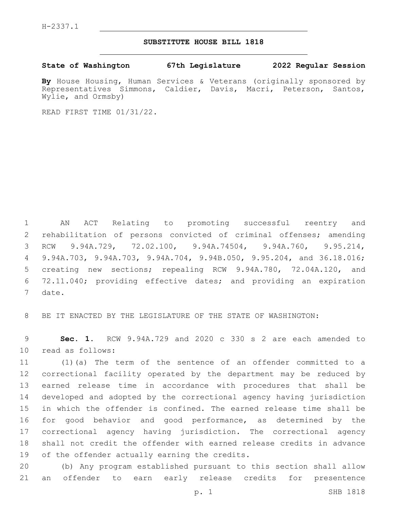H-2337.1

## **SUBSTITUTE HOUSE BILL 1818**

**State of Washington 67th Legislature 2022 Regular Session**

**By** House Housing, Human Services & Veterans (originally sponsored by Representatives Simmons, Caldier, Davis, Macri, Peterson, Santos, Wylie, and Ormsby)

READ FIRST TIME 01/31/22.

 AN ACT Relating to promoting successful reentry and rehabilitation of persons convicted of criminal offenses; amending RCW 9.94A.729, 72.02.100, 9.94A.74504, 9.94A.760, 9.95.214, 9.94A.703, 9.94A.703, 9.94A.704, 9.94B.050, 9.95.204, and 36.18.016; creating new sections; repealing RCW 9.94A.780, 72.04A.120, and 72.11.040; providing effective dates; and providing an expiration 7 date.

BE IT ENACTED BY THE LEGISLATURE OF THE STATE OF WASHINGTON:

 **Sec. 1.** RCW 9.94A.729 and 2020 c 330 s 2 are each amended to 10 read as follows:

 (1)(a) The term of the sentence of an offender committed to a correctional facility operated by the department may be reduced by earned release time in accordance with procedures that shall be developed and adopted by the correctional agency having jurisdiction in which the offender is confined. The earned release time shall be for good behavior and good performance, as determined by the correctional agency having jurisdiction. The correctional agency shall not credit the offender with earned release credits in advance 19 of the offender actually earning the credits.

 (b) Any program established pursuant to this section shall allow an offender to earn early release credits for presentence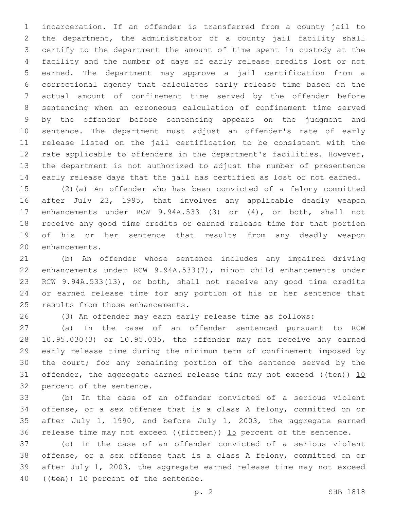incarceration. If an offender is transferred from a county jail to the department, the administrator of a county jail facility shall certify to the department the amount of time spent in custody at the facility and the number of days of early release credits lost or not earned. The department may approve a jail certification from a correctional agency that calculates early release time based on the actual amount of confinement time served by the offender before sentencing when an erroneous calculation of confinement time served by the offender before sentencing appears on the judgment and sentence. The department must adjust an offender's rate of early release listed on the jail certification to be consistent with the rate applicable to offenders in the department's facilities. However, the department is not authorized to adjust the number of presentence early release days that the jail has certified as lost or not earned.

 (2)(a) An offender who has been convicted of a felony committed after July 23, 1995, that involves any applicable deadly weapon enhancements under RCW 9.94A.533 (3) or (4), or both, shall not receive any good time credits or earned release time for that portion of his or her sentence that results from any deadly weapon 20 enhancements.

 (b) An offender whose sentence includes any impaired driving enhancements under RCW 9.94A.533(7), minor child enhancements under RCW 9.94A.533(13), or both, shall not receive any good time credits or earned release time for any portion of his or her sentence that 25 results from those enhancements.

(3) An offender may earn early release time as follows:

 (a) In the case of an offender sentenced pursuant to RCW 10.95.030(3) or 10.95.035, the offender may not receive any earned early release time during the minimum term of confinement imposed by the court; for any remaining portion of the sentence served by the 31 offender, the aggregate earned release time may not exceed ( $(\text{ten})$ ) 10 32 percent of the sentence.

 (b) In the case of an offender convicted of a serious violent offense, or a sex offense that is a class A felony, committed on or after July 1, 1990, and before July 1, 2003, the aggregate earned 36 release time may not exceed ( $(f\text{ifteen})$ ) 15 percent of the sentence.

 (c) In the case of an offender convicted of a serious violent offense, or a sex offense that is a class A felony, committed on or after July 1, 2003, the aggregate earned release time may not exceed 40 ((ten)) 10 percent of the sentence.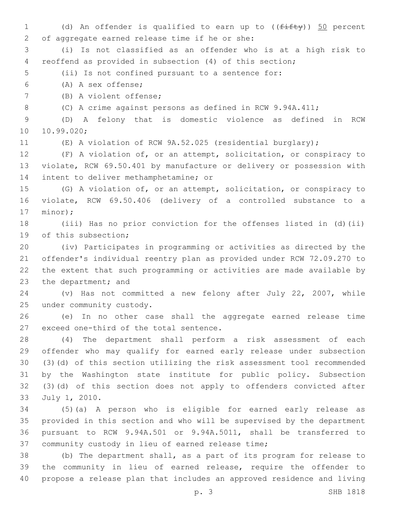1 (d) An offender is qualified to earn up to  $((f \text{iff } y))$  50 percent 2 of aggregate earned release time if he or she: (i) Is not classified as an offender who is at a high risk to reoffend as provided in subsection (4) of this section; (ii) Is not confined pursuant to a sentence for: (A) A sex offense;6 7 (B) A violent offense; (C) A crime against persons as defined in RCW 9.94A.411; (D) A felony that is domestic violence as defined in RCW 10.99.020; (E) A violation of RCW 9A.52.025 (residential burglary); (F) A violation of, or an attempt, solicitation, or conspiracy to violate, RCW 69.50.401 by manufacture or delivery or possession with 14 intent to deliver methamphetamine; or (G) A violation of, or an attempt, solicitation, or conspiracy to violate, RCW 69.50.406 (delivery of a controlled substance to a 17 minor); (iii) Has no prior conviction for the offenses listed in (d)(ii) 19 of this subsection; (iv) Participates in programming or activities as directed by the offender's individual reentry plan as provided under RCW 72.09.270 to the extent that such programming or activities are made available by 23 the department; and (v) Has not committed a new felony after July 22, 2007, while 25 under community custody. (e) In no other case shall the aggregate earned release time 27 exceed one-third of the total sentence. (4) The department shall perform a risk assessment of each offender who may qualify for earned early release under subsection (3)(d) of this section utilizing the risk assessment tool recommended by the Washington state institute for public policy. Subsection (3)(d) of this section does not apply to offenders convicted after 33 July 1, 2010. (5)(a) A person who is eligible for earned early release as provided in this section and who will be supervised by the department pursuant to RCW 9.94A.501 or 9.94A.5011, shall be transferred to 37 community custody in lieu of earned release time; (b) The department shall, as a part of its program for release to the community in lieu of earned release, require the offender to propose a release plan that includes an approved residence and living p. 3 SHB 1818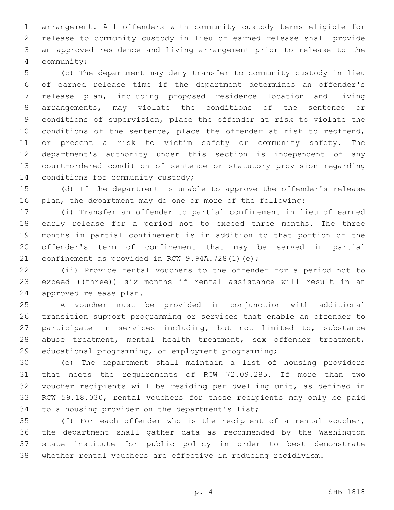arrangement. All offenders with community custody terms eligible for release to community custody in lieu of earned release shall provide an approved residence and living arrangement prior to release to the community;4

 (c) The department may deny transfer to community custody in lieu of earned release time if the department determines an offender's release plan, including proposed residence location and living arrangements, may violate the conditions of the sentence or conditions of supervision, place the offender at risk to violate the conditions of the sentence, place the offender at risk to reoffend, or present a risk to victim safety or community safety. The department's authority under this section is independent of any court-ordered condition of sentence or statutory provision regarding 14 conditions for community custody;

 (d) If the department is unable to approve the offender's release plan, the department may do one or more of the following:

 (i) Transfer an offender to partial confinement in lieu of earned early release for a period not to exceed three months. The three months in partial confinement is in addition to that portion of the offender's term of confinement that may be served in partial 21 confinement as provided in RCW  $9.94A.728(1)(e)$ ;

 (ii) Provide rental vouchers to the offender for a period not to 23 exceed (( $t$ hree))  $six$  months if rental assistance will result in an 24 approved release plan.

 A voucher must be provided in conjunction with additional transition support programming or services that enable an offender to participate in services including, but not limited to, substance abuse treatment, mental health treatment, sex offender treatment, educational programming, or employment programming;

 (e) The department shall maintain a list of housing providers that meets the requirements of RCW 72.09.285. If more than two voucher recipients will be residing per dwelling unit, as defined in RCW 59.18.030, rental vouchers for those recipients may only be paid 34 to a housing provider on the department's list;

 (f) For each offender who is the recipient of a rental voucher, the department shall gather data as recommended by the Washington state institute for public policy in order to best demonstrate whether rental vouchers are effective in reducing recidivism.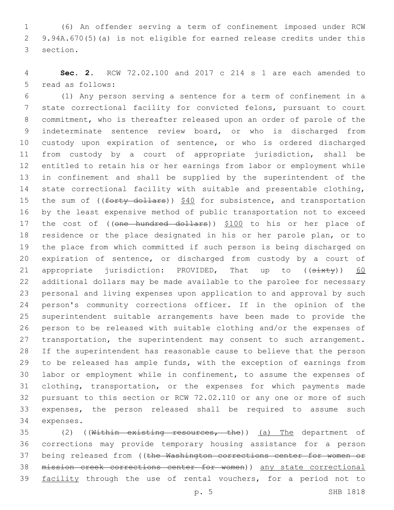(6) An offender serving a term of confinement imposed under RCW 9.94A.670(5)(a) is not eligible for earned release credits under this 3 section.

 **Sec. 2.** RCW 72.02.100 and 2017 c 214 s 1 are each amended to 5 read as follows:

 (1) Any person serving a sentence for a term of confinement in a state correctional facility for convicted felons, pursuant to court commitment, who is thereafter released upon an order of parole of the indeterminate sentence review board, or who is discharged from custody upon expiration of sentence, or who is ordered discharged from custody by a court of appropriate jurisdiction, shall be entitled to retain his or her earnings from labor or employment while in confinement and shall be supplied by the superintendent of the state correctional facility with suitable and presentable clothing, 15 the sum of ((forty dollars)) \$40 for subsistence, and transportation by the least expensive method of public transportation not to exceed 17 the cost of ((one hundred dollars)) \$100 to his or her place of residence or the place designated in his or her parole plan, or to the place from which committed if such person is being discharged on expiration of sentence, or discharged from custody by a court of 21 appropriate jurisdiction: PROVIDED, That up to  $((sixty))$  60 additional dollars may be made available to the parolee for necessary personal and living expenses upon application to and approval by such person's community corrections officer. If in the opinion of the superintendent suitable arrangements have been made to provide the person to be released with suitable clothing and/or the expenses of 27 transportation, the superintendent may consent to such arrangement. If the superintendent has reasonable cause to believe that the person to be released has ample funds, with the exception of earnings from labor or employment while in confinement, to assume the expenses of clothing, transportation, or the expenses for which payments made pursuant to this section or RCW 72.02.110 or any one or more of such expenses, the person released shall be required to assume such 34 expenses.

35 (2) ((Within existing resources, the)) (a) The department of corrections may provide temporary housing assistance for a person 37 being released from ((the Washington corrections center for women or mission creek corrections center for women)) any state correctional 39 facility through the use of rental vouchers, for a period not to

p. 5 SHB 1818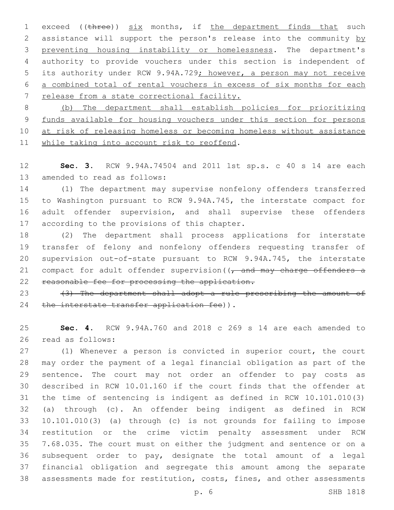1 exceed ((three)) six months, if the department finds that such 2 assistance will support the person's release into the community by preventing housing instability or homelessness. The department's authority to provide vouchers under this section is independent of 5 its authority under RCW 9.94A.729; however, a person may not receive a combined total of rental vouchers in excess of six months for each release from a state correctional facility.

 (b) The department shall establish policies for prioritizing funds available for housing vouchers under this section for persons 10 at risk of releasing homeless or becoming homeless without assistance 11 while taking into account risk to reoffend.

 **Sec. 3.** RCW 9.94A.74504 and 2011 1st sp.s. c 40 s 14 are each 13 amended to read as follows:

 (1) The department may supervise nonfelony offenders transferred to Washington pursuant to RCW 9.94A.745, the interstate compact for adult offender supervision, and shall supervise these offenders 17 according to the provisions of this chapter.

 (2) The department shall process applications for interstate transfer of felony and nonfelony offenders requesting transfer of supervision out-of-state pursuant to RCW 9.94A.745, the interstate 21 compact for adult offender supervision  $\left(\frac{1}{t}\right)$  and may charge offenders a reasonable fee for processing the application.

23  $(3)$  The department shall adopt a rule prescribing the amount of 24 the interstate transfer application fee)).

 **Sec. 4.** RCW 9.94A.760 and 2018 c 269 s 14 are each amended to 26 read as follows:

 (1) Whenever a person is convicted in superior court, the court may order the payment of a legal financial obligation as part of the sentence. The court may not order an offender to pay costs as described in RCW 10.01.160 if the court finds that the offender at the time of sentencing is indigent as defined in RCW 10.101.010(3) (a) through (c). An offender being indigent as defined in RCW 10.101.010(3) (a) through (c) is not grounds for failing to impose restitution or the crime victim penalty assessment under RCW 7.68.035. The court must on either the judgment and sentence or on a subsequent order to pay, designate the total amount of a legal financial obligation and segregate this amount among the separate assessments made for restitution, costs, fines, and other assessments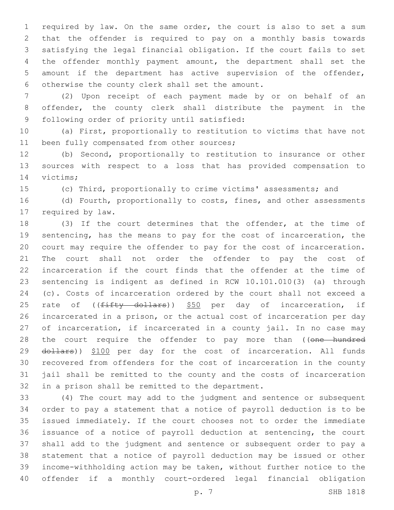required by law. On the same order, the court is also to set a sum that the offender is required to pay on a monthly basis towards satisfying the legal financial obligation. If the court fails to set the offender monthly payment amount, the department shall set the amount if the department has active supervision of the offender, 6 otherwise the county clerk shall set the amount.

 (2) Upon receipt of each payment made by or on behalf of an offender, the county clerk shall distribute the payment in the 9 following order of priority until satisfied:

 (a) First, proportionally to restitution to victims that have not 11 been fully compensated from other sources;

 (b) Second, proportionally to restitution to insurance or other sources with respect to a loss that has provided compensation to 14 victims;

(c) Third, proportionally to crime victims' assessments; and

16 (d) Fourth, proportionally to costs, fines, and other assessments 17 required by law.

 (3) If the court determines that the offender, at the time of sentencing, has the means to pay for the cost of incarceration, the court may require the offender to pay for the cost of incarceration. The court shall not order the offender to pay the cost of incarceration if the court finds that the offender at the time of sentencing is indigent as defined in RCW 10.101.010(3) (a) through (c). Costs of incarceration ordered by the court shall not exceed a 25 rate of ((fifty dollars)) \$50 per day of incarceration, if incarcerated in a prison, or the actual cost of incarceration per day 27 of incarceration, if incarcerated in a county jail. In no case may 28 the court require the offender to pay more than ((one hundred 29 dollars)) \$100 per day for the cost of incarceration. All funds recovered from offenders for the cost of incarceration in the county jail shall be remitted to the county and the costs of incarceration 32 in a prison shall be remitted to the department.

 (4) The court may add to the judgment and sentence or subsequent order to pay a statement that a notice of payroll deduction is to be issued immediately. If the court chooses not to order the immediate issuance of a notice of payroll deduction at sentencing, the court shall add to the judgment and sentence or subsequent order to pay a statement that a notice of payroll deduction may be issued or other income-withholding action may be taken, without further notice to the offender if a monthly court-ordered legal financial obligation

p. 7 SHB 1818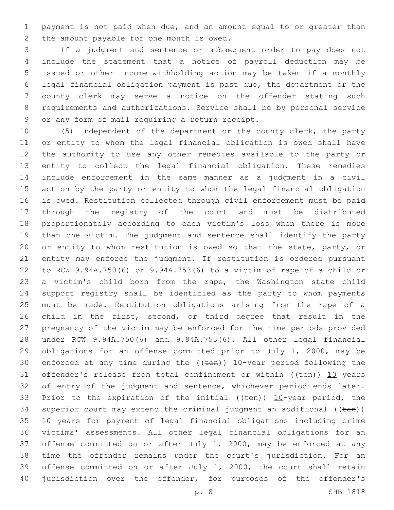payment is not paid when due, and an amount equal to or greater than 2 the amount payable for one month is owed.

 If a judgment and sentence or subsequent order to pay does not include the statement that a notice of payroll deduction may be issued or other income-withholding action may be taken if a monthly legal financial obligation payment is past due, the department or the county clerk may serve a notice on the offender stating such requirements and authorizations. Service shall be by personal service 9 or any form of mail requiring a return receipt.

 (5) Independent of the department or the county clerk, the party or entity to whom the legal financial obligation is owed shall have the authority to use any other remedies available to the party or entity to collect the legal financial obligation. These remedies include enforcement in the same manner as a judgment in a civil action by the party or entity to whom the legal financial obligation is owed. Restitution collected through civil enforcement must be paid through the registry of the court and must be distributed proportionately according to each victim's loss when there is more than one victim. The judgment and sentence shall identify the party 20 or entity to whom restitution is owed so that the state, party, or entity may enforce the judgment. If restitution is ordered pursuant to RCW 9.94A.750(6) or 9.94A.753(6) to a victim of rape of a child or a victim's child born from the rape, the Washington state child support registry shall be identified as the party to whom payments must be made. Restitution obligations arising from the rape of a child in the first, second, or third degree that result in the pregnancy of the victim may be enforced for the time periods provided under RCW 9.94A.750(6) and 9.94A.753(6). All other legal financial obligations for an offense committed prior to July 1, 2000, may be 30 enforced at any time during the  $((\text{ten}))$  10-year period following the 31 offender's release from total confinement or within  $((ten))$  10 years 32 of entry of the judgment and sentence, whichever period ends later. 33 Prior to the expiration of the initial (( $t$ en))  $10$ -year period, the 34 superior court may extend the criminal judgment an additional  $((\text{ten}))$  10 years for payment of legal financial obligations including crime victims' assessments. All other legal financial obligations for an offense committed on or after July 1, 2000, may be enforced at any time the offender remains under the court's jurisdiction. For an offense committed on or after July 1, 2000, the court shall retain 40 jurisdiction over the offender, for purposes of the offender's

p. 8 SHB 1818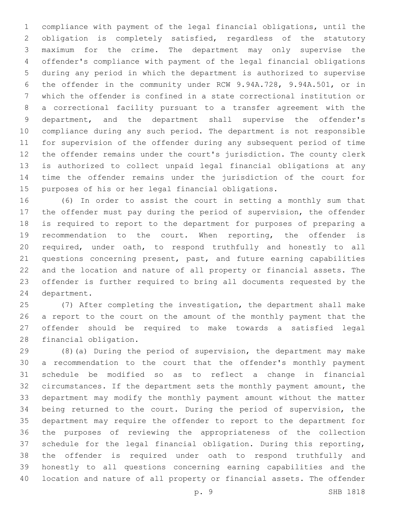compliance with payment of the legal financial obligations, until the obligation is completely satisfied, regardless of the statutory maximum for the crime. The department may only supervise the offender's compliance with payment of the legal financial obligations during any period in which the department is authorized to supervise the offender in the community under RCW 9.94A.728, 9.94A.501, or in which the offender is confined in a state correctional institution or a correctional facility pursuant to a transfer agreement with the department, and the department shall supervise the offender's compliance during any such period. The department is not responsible for supervision of the offender during any subsequent period of time the offender remains under the court's jurisdiction. The county clerk is authorized to collect unpaid legal financial obligations at any time the offender remains under the jurisdiction of the court for purposes of his or her legal financial obligations.

 (6) In order to assist the court in setting a monthly sum that the offender must pay during the period of supervision, the offender is required to report to the department for purposes of preparing a recommendation to the court. When reporting, the offender is required, under oath, to respond truthfully and honestly to all questions concerning present, past, and future earning capabilities and the location and nature of all property or financial assets. The offender is further required to bring all documents requested by the 24 department.

 (7) After completing the investigation, the department shall make a report to the court on the amount of the monthly payment that the offender should be required to make towards a satisfied legal 28 financial obligation.

 (8)(a) During the period of supervision, the department may make a recommendation to the court that the offender's monthly payment schedule be modified so as to reflect a change in financial circumstances. If the department sets the monthly payment amount, the department may modify the monthly payment amount without the matter being returned to the court. During the period of supervision, the department may require the offender to report to the department for the purposes of reviewing the appropriateness of the collection schedule for the legal financial obligation. During this reporting, the offender is required under oath to respond truthfully and honestly to all questions concerning earning capabilities and the location and nature of all property or financial assets. The offender

p. 9 SHB 1818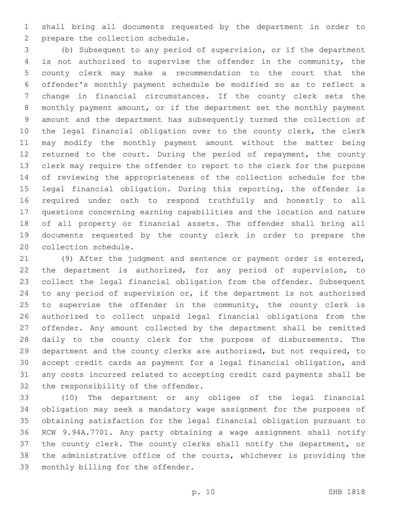shall bring all documents requested by the department in order to 2 prepare the collection schedule.

 (b) Subsequent to any period of supervision, or if the department is not authorized to supervise the offender in the community, the county clerk may make a recommendation to the court that the offender's monthly payment schedule be modified so as to reflect a change in financial circumstances. If the county clerk sets the monthly payment amount, or if the department set the monthly payment amount and the department has subsequently turned the collection of the legal financial obligation over to the county clerk, the clerk may modify the monthly payment amount without the matter being 12 returned to the court. During the period of repayment, the county clerk may require the offender to report to the clerk for the purpose of reviewing the appropriateness of the collection schedule for the legal financial obligation. During this reporting, the offender is required under oath to respond truthfully and honestly to all questions concerning earning capabilities and the location and nature of all property or financial assets. The offender shall bring all documents requested by the county clerk in order to prepare the 20 collection schedule.

 (9) After the judgment and sentence or payment order is entered, the department is authorized, for any period of supervision, to collect the legal financial obligation from the offender. Subsequent to any period of supervision or, if the department is not authorized to supervise the offender in the community, the county clerk is authorized to collect unpaid legal financial obligations from the offender. Any amount collected by the department shall be remitted daily to the county clerk for the purpose of disbursements. The department and the county clerks are authorized, but not required, to accept credit cards as payment for a legal financial obligation, and any costs incurred related to accepting credit card payments shall be 32 the responsibility of the offender.

 (10) The department or any obligee of the legal financial obligation may seek a mandatory wage assignment for the purposes of obtaining satisfaction for the legal financial obligation pursuant to RCW 9.94A.7701. Any party obtaining a wage assignment shall notify the county clerk. The county clerks shall notify the department, or the administrative office of the courts, whichever is providing the 39 monthly billing for the offender.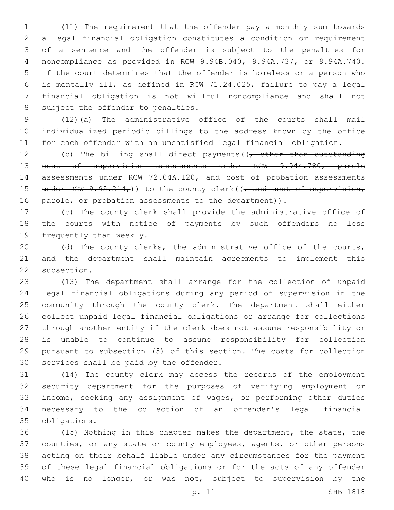(11) The requirement that the offender pay a monthly sum towards a legal financial obligation constitutes a condition or requirement of a sentence and the offender is subject to the penalties for noncompliance as provided in RCW 9.94B.040, 9.94A.737, or 9.94A.740. If the court determines that the offender is homeless or a person who is mentally ill, as defined in RCW 71.24.025, failure to pay a legal financial obligation is not willful noncompliance and shall not 8 subject the offender to penalties.

 (12)(a) The administrative office of the courts shall mail individualized periodic billings to the address known by the office for each offender with an unsatisfied legal financial obligation.

12 (b) The billing shall direct payments  $(1, -0)$  other than outstanding cost of supervision assessments under RCW 9.94A.780, parole 14 assessments under RCW 72.04A.120, and cost of probation assessments 15 under RCW  $9.95.214<sub>r</sub>$ )) to the county clerk(( $\frac{1}{r}$  and cost of supervision, 16 parole, or probation assessments to the department)).

 (c) The county clerk shall provide the administrative office of the courts with notice of payments by such offenders no less 19 frequently than weekly.

 (d) The county clerks, the administrative office of the courts, and the department shall maintain agreements to implement this 22 subsection.

 (13) The department shall arrange for the collection of unpaid legal financial obligations during any period of supervision in the community through the county clerk. The department shall either collect unpaid legal financial obligations or arrange for collections through another entity if the clerk does not assume responsibility or is unable to continue to assume responsibility for collection pursuant to subsection (5) of this section. The costs for collection 30 services shall be paid by the offender.

 (14) The county clerk may access the records of the employment security department for the purposes of verifying employment or income, seeking any assignment of wages, or performing other duties necessary to the collection of an offender's legal financial obligations.35

 (15) Nothing in this chapter makes the department, the state, the counties, or any state or county employees, agents, or other persons acting on their behalf liable under any circumstances for the payment of these legal financial obligations or for the acts of any offender who is no longer, or was not, subject to supervision by the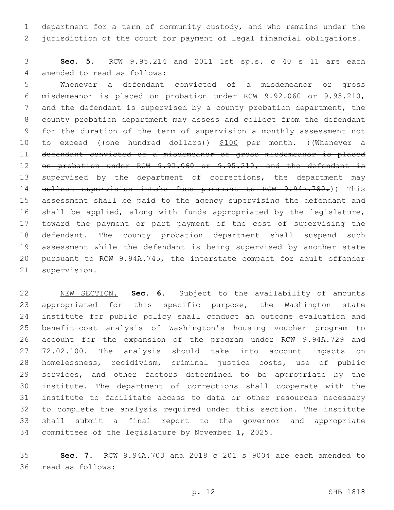department for a term of community custody, and who remains under the jurisdiction of the court for payment of legal financial obligations.

 **Sec. 5.** RCW 9.95.214 and 2011 1st sp.s. c 40 s 11 are each 4 amended to read as follows:

 Whenever a defendant convicted of a misdemeanor or gross misdemeanor is placed on probation under RCW 9.92.060 or 9.95.210, and the defendant is supervised by a county probation department, the county probation department may assess and collect from the defendant for the duration of the term of supervision a monthly assessment not 10 to exceed ((one hundred dollars)) \$100 per month. ((Whenever a defendant convicted of a misdemeanor or gross misdemeanor is placed 12 on probation under RCW 9.92.060 or 9.95.210, and the defendant is 13 supervised by the department of corrections, the department may 14 collect supervision intake fees pursuant to RCW 9.94A.780.)) This assessment shall be paid to the agency supervising the defendant and shall be applied, along with funds appropriated by the legislature, toward the payment or part payment of the cost of supervising the defendant. The county probation department shall suspend such assessment while the defendant is being supervised by another state pursuant to RCW 9.94A.745, the interstate compact for adult offender 21 supervision.

 NEW SECTION. **Sec. 6.** Subject to the availability of amounts 23 appropriated for this specific purpose, the Washington state institute for public policy shall conduct an outcome evaluation and benefit-cost analysis of Washington's housing voucher program to account for the expansion of the program under RCW 9.94A.729 and 72.02.100. The analysis should take into account impacts on homelessness, recidivism, criminal justice costs, use of public services, and other factors determined to be appropriate by the institute. The department of corrections shall cooperate with the institute to facilitate access to data or other resources necessary to complete the analysis required under this section. The institute shall submit a final report to the governor and appropriate committees of the legislature by November 1, 2025.

 **Sec. 7.** RCW 9.94A.703 and 2018 c 201 s 9004 are each amended to 36 read as follows: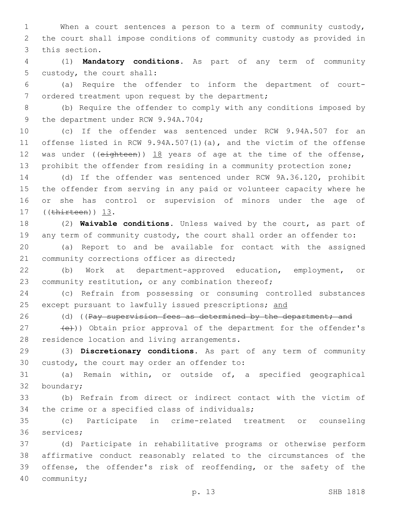1 When a court sentences a person to a term of community custody, 2 the court shall impose conditions of community custody as provided in 3 this section.

4 (1) **Mandatory conditions.** As part of any term of community 5 custody, the court shall:

6 (a) Require the offender to inform the department of court-7 ordered treatment upon request by the department;

8 (b) Require the offender to comply with any conditions imposed by 9 the department under RCW 9.94A.704;

 (c) If the offender was sentenced under RCW 9.94A.507 for an offense listed in RCW 9.94A.507(1)(a), and the victim of the offense 12 was under ((eighteen)) 18 years of age at the time of the offense, prohibit the offender from residing in a community protection zone;

 (d) If the offender was sentenced under RCW 9A.36.120, prohibit the offender from serving in any paid or volunteer capacity where he or she has control or supervision of minors under the age of 17 ((thirteen)) 13.

18 (2) **Waivable conditions.** Unless waived by the court, as part of 19 any term of community custody, the court shall order an offender to:

20 (a) Report to and be available for contact with the assigned 21 community corrections officer as directed;

22 (b) Work at department-approved education, employment, or 23 community restitution, or any combination thereof;

24 (c) Refrain from possessing or consuming controlled substances 25 except pursuant to lawfully issued prescriptions; and

26 (d) ((Pay supervision fees as determined by the department; and

27 (e))) Obtain prior approval of the department for the offender's 28 residence location and living arrangements.

29 (3) **Discretionary conditions.** As part of any term of community 30 custody, the court may order an offender to:

31 (a) Remain within, or outside of, a specified geographical 32 boundary;

33 (b) Refrain from direct or indirect contact with the victim of 34 the crime or a specified class of individuals;

35 (c) Participate in crime-related treatment or counseling 36 services;

 (d) Participate in rehabilitative programs or otherwise perform affirmative conduct reasonably related to the circumstances of the offense, the offender's risk of reoffending, or the safety of the 40 community;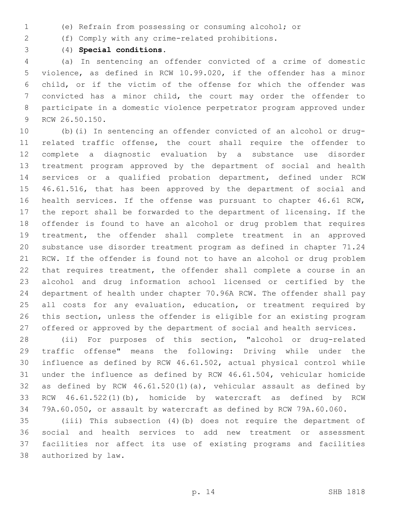- (e) Refrain from possessing or consuming alcohol; or
- (f) Comply with any crime-related prohibitions.
- 

(4) **Special conditions.**

 (a) In sentencing an offender convicted of a crime of domestic violence, as defined in RCW 10.99.020, if the offender has a minor child, or if the victim of the offense for which the offender was convicted has a minor child, the court may order the offender to participate in a domestic violence perpetrator program approved under 9 RCW 26.50.150.

 (b)(i) In sentencing an offender convicted of an alcohol or drug- related traffic offense, the court shall require the offender to complete a diagnostic evaluation by a substance use disorder treatment program approved by the department of social and health services or a qualified probation department, defined under RCW 46.61.516, that has been approved by the department of social and health services. If the offense was pursuant to chapter 46.61 RCW, the report shall be forwarded to the department of licensing. If the offender is found to have an alcohol or drug problem that requires treatment, the offender shall complete treatment in an approved substance use disorder treatment program as defined in chapter 71.24 RCW. If the offender is found not to have an alcohol or drug problem that requires treatment, the offender shall complete a course in an alcohol and drug information school licensed or certified by the department of health under chapter 70.96A RCW. The offender shall pay 25 all costs for any evaluation, education, or treatment required by this section, unless the offender is eligible for an existing program offered or approved by the department of social and health services.

 (ii) For purposes of this section, "alcohol or drug-related traffic offense" means the following: Driving while under the influence as defined by RCW 46.61.502, actual physical control while under the influence as defined by RCW 46.61.504, vehicular homicide as defined by RCW 46.61.520(1)(a), vehicular assault as defined by RCW 46.61.522(1)(b), homicide by watercraft as defined by RCW 79A.60.050, or assault by watercraft as defined by RCW 79A.60.060.

 (iii) This subsection (4)(b) does not require the department of social and health services to add new treatment or assessment facilities nor affect its use of existing programs and facilities 38 authorized by law.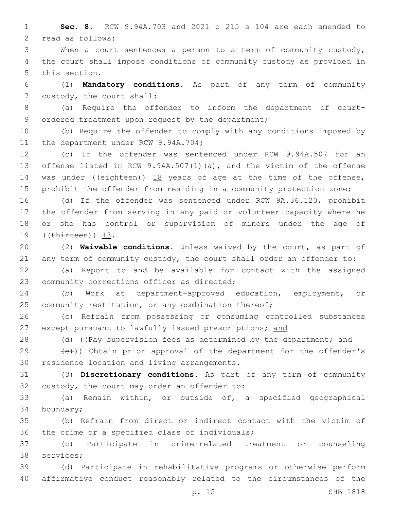1 **Sec. 8.** RCW 9.94A.703 and 2021 c 215 s 104 are each amended to 2 read as follows:

3 When a court sentences a person to a term of community custody, 4 the court shall impose conditions of community custody as provided in 5 this section.

6 (1) **Mandatory conditions.** As part of any term of community 7 custody, the court shall:

8 (a) Require the offender to inform the department of court-9 ordered treatment upon request by the department;

10 (b) Require the offender to comply with any conditions imposed by 11 the department under RCW 9.94A.704;

 (c) If the offender was sentenced under RCW 9.94A.507 for an offense listed in RCW 9.94A.507(1)(a), and the victim of the offense 14 was under ((eighteen)) 18 years of age at the time of the offense, prohibit the offender from residing in a community protection zone;

 (d) If the offender was sentenced under RCW 9A.36.120, prohibit the offender from serving in any paid or volunteer capacity where he or she has control or supervision of minors under the age of 19 ((thirteen)) 13.

20 (2) **Waivable conditions.** Unless waived by the court, as part of 21 any term of community custody, the court shall order an offender to:

22 (a) Report to and be available for contact with the assigned 23 community corrections officer as directed;

24 (b) Work at department-approved education, employment, or 25 community restitution, or any combination thereof;

26 (c) Refrain from possessing or consuming controlled substances 27 except pursuant to lawfully issued prescriptions; and

28 (d) ((Pay supervision fees as determined by the department; and

29  $(e)$ )) Obtain prior approval of the department for the offender's 30 residence location and living arrangements.

31 (3) **Discretionary conditions.** As part of any term of community 32 custody, the court may order an offender to:

33 (a) Remain within, or outside of, a specified geographical 34 boundary;

35 (b) Refrain from direct or indirect contact with the victim of 36 the crime or a specified class of individuals;

37 (c) Participate in crime-related treatment or counseling 38 services;

39 (d) Participate in rehabilitative programs or otherwise perform 40 affirmative conduct reasonably related to the circumstances of the

p. 15 SHB 1818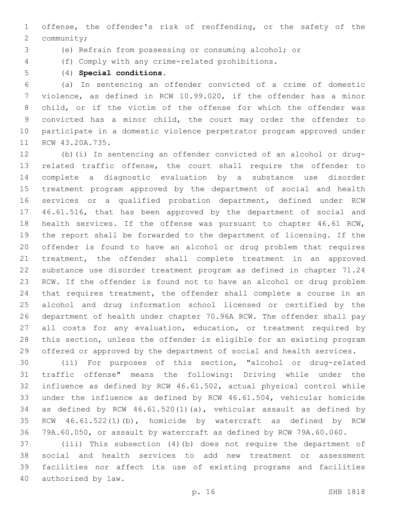offense, the offender's risk of reoffending, or the safety of the 2 community;

(e) Refrain from possessing or consuming alcohol; or

- (f) Comply with any crime-related prohibitions.
- 

(4) **Special conditions.**

 (a) In sentencing an offender convicted of a crime of domestic violence, as defined in RCW 10.99.020, if the offender has a minor child, or if the victim of the offense for which the offender was convicted has a minor child, the court may order the offender to participate in a domestic violence perpetrator program approved under 11 RCW 43.20A.735.

 (b)(i) In sentencing an offender convicted of an alcohol or drug- related traffic offense, the court shall require the offender to complete a diagnostic evaluation by a substance use disorder treatment program approved by the department of social and health services or a qualified probation department, defined under RCW 46.61.516, that has been approved by the department of social and health services. If the offense was pursuant to chapter 46.61 RCW, the report shall be forwarded to the department of licensing. If the offender is found to have an alcohol or drug problem that requires treatment, the offender shall complete treatment in an approved substance use disorder treatment program as defined in chapter 71.24 RCW. If the offender is found not to have an alcohol or drug problem that requires treatment, the offender shall complete a course in an alcohol and drug information school licensed or certified by the department of health under chapter 70.96A RCW. The offender shall pay 27 all costs for any evaluation, education, or treatment required by this section, unless the offender is eligible for an existing program offered or approved by the department of social and health services.

 (ii) For purposes of this section, "alcohol or drug-related traffic offense" means the following: Driving while under the influence as defined by RCW 46.61.502, actual physical control while under the influence as defined by RCW 46.61.504, vehicular homicide as defined by RCW 46.61.520(1)(a), vehicular assault as defined by RCW 46.61.522(1)(b), homicide by watercraft as defined by RCW 79A.60.050, or assault by watercraft as defined by RCW 79A.60.060.

 (iii) This subsection (4)(b) does not require the department of social and health services to add new treatment or assessment facilities nor affect its use of existing programs and facilities 40 authorized by law.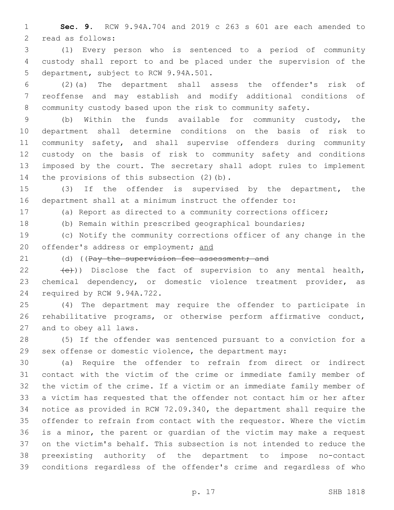**Sec. 9.** RCW 9.94A.704 and 2019 c 263 s 601 are each amended to 2 read as follows:

 (1) Every person who is sentenced to a period of community custody shall report to and be placed under the supervision of the 5 department, subject to RCW 9.94A.501.

 (2)(a) The department shall assess the offender's risk of reoffense and may establish and modify additional conditions of community custody based upon the risk to community safety.

 (b) Within the funds available for community custody, the department shall determine conditions on the basis of risk to community safety, and shall supervise offenders during community custody on the basis of risk to community safety and conditions imposed by the court. The secretary shall adopt rules to implement 14 the provisions of this subsection (2)(b).

 (3) If the offender is supervised by the department, the department shall at a minimum instruct the offender to:

(a) Report as directed to a community corrections officer;

(b) Remain within prescribed geographical boundaries;

 (c) Notify the community corrections officer of any change in the 20 offender's address or employment; and

21 (d) ((Pay the supervision fee assessment; and

22  $(e)$ )) Disclose the fact of supervision to any mental health, chemical dependency, or domestic violence treatment provider, as 24 required by RCW 9.94A.722.

 (4) The department may require the offender to participate in rehabilitative programs, or otherwise perform affirmative conduct, 27 and to obey all laws.

 (5) If the offender was sentenced pursuant to a conviction for a sex offense or domestic violence, the department may:

 (a) Require the offender to refrain from direct or indirect contact with the victim of the crime or immediate family member of the victim of the crime. If a victim or an immediate family member of a victim has requested that the offender not contact him or her after notice as provided in RCW 72.09.340, the department shall require the offender to refrain from contact with the requestor. Where the victim is a minor, the parent or guardian of the victim may make a request on the victim's behalf. This subsection is not intended to reduce the preexisting authority of the department to impose no-contact conditions regardless of the offender's crime and regardless of who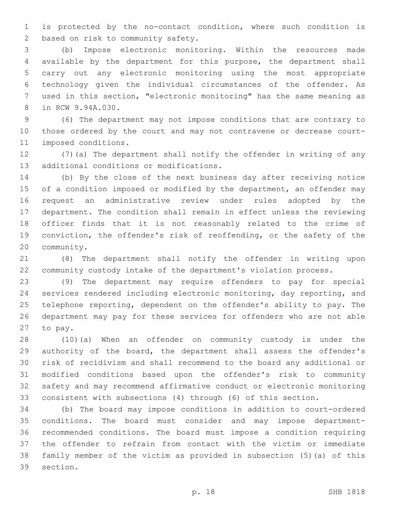is protected by the no-contact condition, where such condition is 2 based on risk to community safety.

 (b) Impose electronic monitoring. Within the resources made available by the department for this purpose, the department shall carry out any electronic monitoring using the most appropriate technology given the individual circumstances of the offender. As used in this section, "electronic monitoring" has the same meaning as 8 in RCW 9.94A.030.

 (6) The department may not impose conditions that are contrary to those ordered by the court and may not contravene or decrease court-11 imposed conditions.

 (7)(a) The department shall notify the offender in writing of any 13 additional conditions or modifications.

 (b) By the close of the next business day after receiving notice 15 of a condition imposed or modified by the department, an offender may request an administrative review under rules adopted by the department. The condition shall remain in effect unless the reviewing officer finds that it is not reasonably related to the crime of conviction, the offender's risk of reoffending, or the safety of the 20 community.

 (8) The department shall notify the offender in writing upon community custody intake of the department's violation process.

 (9) The department may require offenders to pay for special services rendered including electronic monitoring, day reporting, and telephone reporting, dependent on the offender's ability to pay. The department may pay for these services for offenders who are not able 27 to pay.

 (10)(a) When an offender on community custody is under the authority of the board, the department shall assess the offender's risk of recidivism and shall recommend to the board any additional or modified conditions based upon the offender's risk to community safety and may recommend affirmative conduct or electronic monitoring consistent with subsections (4) through (6) of this section.

 (b) The board may impose conditions in addition to court-ordered conditions. The board must consider and may impose department- recommended conditions. The board must impose a condition requiring the offender to refrain from contact with the victim or immediate family member of the victim as provided in subsection (5)(a) of this 39 section.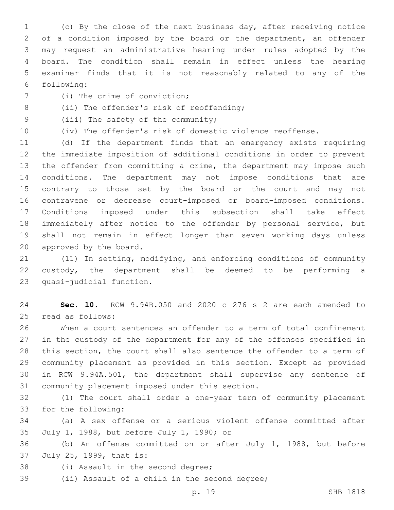(c) By the close of the next business day, after receiving notice of a condition imposed by the board or the department, an offender may request an administrative hearing under rules adopted by the board. The condition shall remain in effect unless the hearing examiner finds that it is not reasonably related to any of the following:6

- 7 (i) The crime of conviction;
- 8 (ii) The offender's risk of reoffending;
- 9 (iii) The safety of the community;
- 

(iv) The offender's risk of domestic violence reoffense.

 (d) If the department finds that an emergency exists requiring the immediate imposition of additional conditions in order to prevent the offender from committing a crime, the department may impose such conditions. The department may not impose conditions that are contrary to those set by the board or the court and may not contravene or decrease court-imposed or board-imposed conditions. Conditions imposed under this subsection shall take effect immediately after notice to the offender by personal service, but shall not remain in effect longer than seven working days unless 20 approved by the board.

 (11) In setting, modifying, and enforcing conditions of community custody, the department shall be deemed to be performing a 23 quasi-judicial function.

 **Sec. 10.** RCW 9.94B.050 and 2020 c 276 s 2 are each amended to read as follows:25

 When a court sentences an offender to a term of total confinement in the custody of the department for any of the offenses specified in this section, the court shall also sentence the offender to a term of community placement as provided in this section. Except as provided in RCW 9.94A.501, the department shall supervise any sentence of 31 community placement imposed under this section.

 (1) The court shall order a one-year term of community placement 33 for the following:

 (a) A sex offense or a serious violent offense committed after 35 July 1, 1988, but before July 1, 1990; or

 (b) An offense committed on or after July 1, 1988, but before 37 July 25, 1999, that is:

- 38 (i) Assault in the second degree;
- 39 (ii) Assault of a child in the second degree;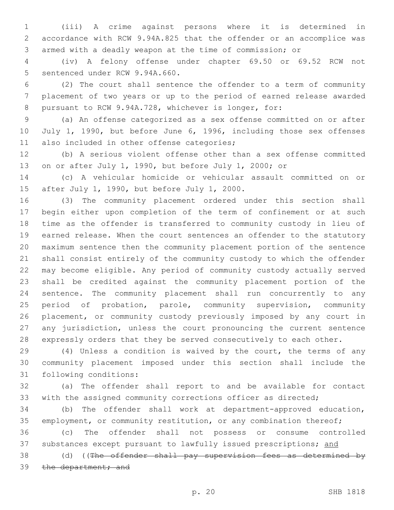(iii) A crime against persons where it is determined in accordance with RCW 9.94A.825 that the offender or an accomplice was armed with a deadly weapon at the time of commission; or

 (iv) A felony offense under chapter 69.50 or 69.52 RCW not 5 sentenced under RCW 9.94A.660.

 (2) The court shall sentence the offender to a term of community placement of two years or up to the period of earned release awarded pursuant to RCW 9.94A.728, whichever is longer, for:

 (a) An offense categorized as a sex offense committed on or after 10 July 1, 1990, but before June 6, 1996, including those sex offenses 11 also included in other offense categories;

 (b) A serious violent offense other than a sex offense committed on or after July 1, 1990, but before July 1, 2000; or

 (c) A vehicular homicide or vehicular assault committed on or 15 after July 1, 1990, but before July 1, 2000.

 (3) The community placement ordered under this section shall begin either upon completion of the term of confinement or at such time as the offender is transferred to community custody in lieu of earned release. When the court sentences an offender to the statutory maximum sentence then the community placement portion of the sentence shall consist entirely of the community custody to which the offender may become eligible. Any period of community custody actually served shall be credited against the community placement portion of the sentence. The community placement shall run concurrently to any period of probation, parole, community supervision, community placement, or community custody previously imposed by any court in any jurisdiction, unless the court pronouncing the current sentence expressly orders that they be served consecutively to each other.

 (4) Unless a condition is waived by the court, the terms of any community placement imposed under this section shall include the 31 following conditions:

 (a) The offender shall report to and be available for contact with the assigned community corrections officer as directed;

 (b) The offender shall work at department-approved education, 35 employment, or community restitution, or any combination thereof;

 (c) The offender shall not possess or consume controlled 37 substances except pursuant to lawfully issued prescriptions; and

38 (d) ((The offender shall pay supervision fees as determined by 39 the department; and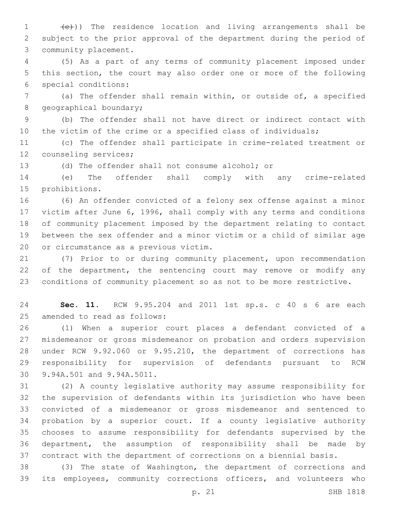1 (e)) The residence location and living arrangements shall be subject to the prior approval of the department during the period of 3 community placement.

 (5) As a part of any terms of community placement imposed under this section, the court may also order one or more of the following special conditions:6

 (a) The offender shall remain within, or outside of, a specified 8 geographical boundary;

 (b) The offender shall not have direct or indirect contact with the victim of the crime or a specified class of individuals;

 (c) The offender shall participate in crime-related treatment or 12 counseling services;

(d) The offender shall not consume alcohol; or

 (e) The offender shall comply with any crime-related 15 prohibitions.

 (6) An offender convicted of a felony sex offense against a minor victim after June 6, 1996, shall comply with any terms and conditions of community placement imposed by the department relating to contact between the sex offender and a minor victim or a child of similar age 20 or circumstance as a previous victim.

 (7) Prior to or during community placement, upon recommendation 22 of the department, the sentencing court may remove or modify any conditions of community placement so as not to be more restrictive.

 **Sec. 11.** RCW 9.95.204 and 2011 1st sp.s. c 40 s 6 are each 25 amended to read as follows:

 (1) When a superior court places a defendant convicted of a misdemeanor or gross misdemeanor on probation and orders supervision under RCW 9.92.060 or 9.95.210, the department of corrections has responsibility for supervision of defendants pursuant to RCW 30 9.94A.501 and 9.94A.5011.

 (2) A county legislative authority may assume responsibility for the supervision of defendants within its jurisdiction who have been convicted of a misdemeanor or gross misdemeanor and sentenced to probation by a superior court. If a county legislative authority chooses to assume responsibility for defendants supervised by the department, the assumption of responsibility shall be made by contract with the department of corrections on a biennial basis.

 (3) The state of Washington, the department of corrections and its employees, community corrections officers, and volunteers who

p. 21 SHB 1818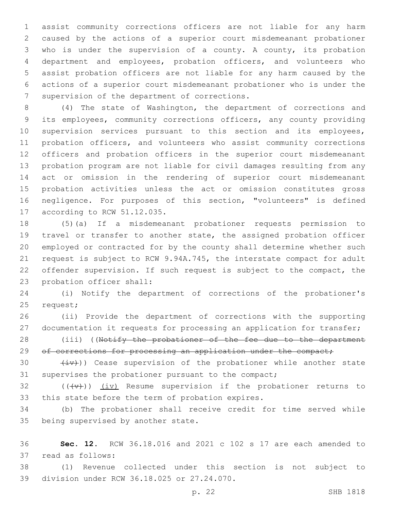assist community corrections officers are not liable for any harm caused by the actions of a superior court misdemeanant probationer who is under the supervision of a county. A county, its probation department and employees, probation officers, and volunteers who assist probation officers are not liable for any harm caused by the actions of a superior court misdemeanant probationer who is under the 7 supervision of the department of corrections.

 (4) The state of Washington, the department of corrections and its employees, community corrections officers, any county providing supervision services pursuant to this section and its employees, probation officers, and volunteers who assist community corrections officers and probation officers in the superior court misdemeanant probation program are not liable for civil damages resulting from any act or omission in the rendering of superior court misdemeanant probation activities unless the act or omission constitutes gross negligence. For purposes of this section, "volunteers" is defined 17 according to RCW 51.12.035.

 (5)(a) If a misdemeanant probationer requests permission to travel or transfer to another state, the assigned probation officer employed or contracted for by the county shall determine whether such request is subject to RCW 9.94A.745, the interstate compact for adult offender supervision. If such request is subject to the compact, the 23 probation officer shall:

 (i) Notify the department of corrections of the probationer's 25 request;

 (ii) Provide the department of corrections with the supporting documentation it requests for processing an application for transfer;

28 (iii) ((Notify the probationer of the fee due to the department 29 of corrections for processing an application under the compact;

30  $(iv)$ ) Cease supervision of the probationer while another state supervises the probationer pursuant to the compact;

32  $((+\nu)^2)$   $(i\nu)$  Resume supervision if the probationer returns to 33 this state before the term of probation expires.

 (b) The probationer shall receive credit for time served while 35 being supervised by another state.

 **Sec. 12.** RCW 36.18.016 and 2021 c 102 s 17 are each amended to 37 read as follows:

 (1) Revenue collected under this section is not subject to 39 division under RCW 36.18.025 or 27.24.070.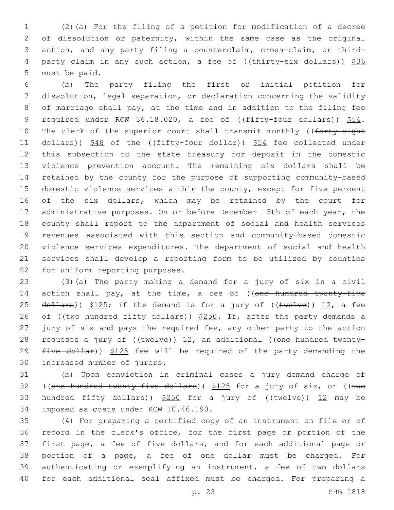1 (2)(a) For the filing of a petition for modification of a decree 2 of dissolution or paternity, within the same case as the original 3 action, and any party filing a counterclaim, cross-claim, or third-4 party claim in any such action, a fee of ((thirty-six dollars)) \$36 5 must be paid.

 (b) The party filing the first or initial petition for dissolution, legal separation, or declaration concerning the validity of marriage shall pay, at the time and in addition to the filing fee 9 required under RCW 36.18.020, a fee of ((fifty-four dollars)) \$54. 10 The clerk of the superior court shall transmit monthly ((forty-eight 11 dollars)) \$48 of the ((fifty-four dollar)) \$54 fee collected under this subsection to the state treasury for deposit in the domestic violence prevention account. The remaining six dollars shall be retained by the county for the purpose of supporting community-based domestic violence services within the county, except for five percent of the six dollars, which may be retained by the court for 17 administrative purposes. On or before December 15th of each year, the county shall report to the department of social and health services revenues associated with this section and community-based domestic violence services expenditures. The department of social and health services shall develop a reporting form to be utilized by counties 22 for uniform reporting purposes.

23 (3)(a) The party making a demand for a jury of six in a civil 24 action shall pay, at the time, a fee of ((one hundred twenty-five 25  $d$ ollars))  $$125;$  if the demand is for a jury of (( $t$ welve)) 12, a fee 26 of ((two hundred fifty dollars)) \$250. If, after the party demands a 27 jury of six and pays the required fee, any other party to the action 28 requests a jury of  $((\text{twelve}))$  12, an additional ((one hundred twenty-29  $five$  dollar))  $$125$  fee will be required of the party demanding the 30 increased number of jurors.

31 (b) Upon conviction in criminal cases a jury demand charge of 32 ((one hundred twenty-five dollars)) \$125 for a jury of six, or ((two 33 hundred fifty dollars)) \$250 for a jury of ((twelve)) 12 may be 34 imposed as costs under RCW 10.46.190.

 (4) For preparing a certified copy of an instrument on file or of record in the clerk's office, for the first page or portion of the first page, a fee of five dollars, and for each additional page or portion of a page, a fee of one dollar must be charged. For authenticating or exemplifying an instrument, a fee of two dollars for each additional seal affixed must be charged. For preparing a

p. 23 SHB 1818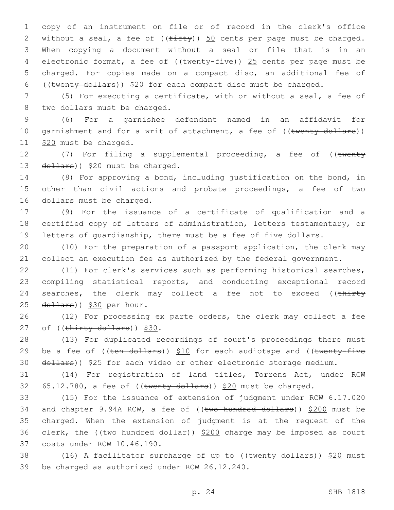copy of an instrument on file or of record in the clerk's office 2 without a seal, a fee of  $((f\text{iff}\psi))$  50 cents per page must be charged. When copying a document without a seal or file that is in an 4 electronic format, a fee of ((twenty-five)) 25 cents per page must be charged. For copies made on a compact disc, an additional fee of ((twenty dollars)) \$20 for each compact disc must be charged.

7 (5) For executing a certificate, with or without a seal, a fee of 8 two dollars must be charged.

9 (6) For a garnishee defendant named in an affidavit for 10 garnishment and for a writ of attachment, a fee of ((twenty dollars)) 11 \$20 must be charged.

12 (7) For filing a supplemental proceeding, a fee of ((twenty 13  $\left(\frac{d^2}{2} + \frac{d^2}{2} + \frac{d^2}{2}\right)$  and the charged.

14 (8) For approving a bond, including justification on the bond, in 15 other than civil actions and probate proceedings, a fee of two 16 dollars must be charged.

17 (9) For the issuance of a certificate of qualification and a 18 certified copy of letters of administration, letters testamentary, or 19 letters of guardianship, there must be a fee of five dollars.

20 (10) For the preparation of a passport application, the clerk may 21 collect an execution fee as authorized by the federal government.

22 (11) For clerk's services such as performing historical searches, 23 compiling statistical reports, and conducting exceptional record 24 searches, the clerk may collect a fee not to exceed ((thirty 25 dollars)) \$30 per hour.

26 (12) For processing ex parte orders, the clerk may collect a fee 27 of  $((\text{thirty dollars}))$  \$30.

28 (13) For duplicated recordings of court's proceedings there must 29 be a fee of  $((\text{ten}-\text{dollars}))$  \$10 for each audiotape and  $((\text{twenty-five}-\text{fivex}))$ 30 dollars)) \$25 for each video or other electronic storage medium.

31 (14) For registration of land titles, Torrens Act, under RCW 32  $65.12.780$ , a fee of ((twenty dollars)) \$20 must be charged.

33 (15) For the issuance of extension of judgment under RCW 6.17.020 34 and chapter 9.94A RCW, a fee of ((two hundred dollars)) \$200 must be 35 charged. When the extension of judgment is at the request of the 36 clerk, the (( $t$ wo hundred dollar))  $$200$  charge may be imposed as court 37 costs under RCW 10.46.190.

38 (16) A facilitator surcharge of up to  $((\text{twenty dollars}))$  \$20 must 39 be charged as authorized under RCW 26.12.240.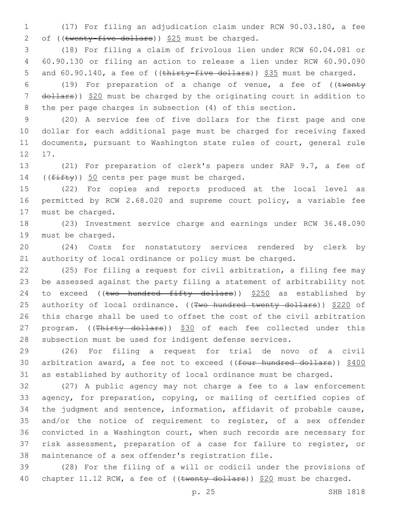(17) For filing an adjudication claim under RCW 90.03.180, a fee 2 of (( $\text{twenty-five dollars}$ ))  $$25$  must be charged.

 (18) For filing a claim of frivolous lien under RCW 60.04.081 or 60.90.130 or filing an action to release a lien under RCW 60.90.090 5 and 60.90.140, a fee of ((thirty-five dollars)) \$35 must be charged.

6 (19) For preparation of a change of venue, a fee of  $($  (twenty 7 dollars)) \$20 must be charged by the originating court in addition to the per page charges in subsection (4) of this section.

 (20) A service fee of five dollars for the first page and one dollar for each additional page must be charged for receiving faxed documents, pursuant to Washington state rules of court, general rule 12 17.

 (21) For preparation of clerk's papers under RAP 9.7, a fee of 14  $((f\text{ifty}))$  50 cents per page must be charged.

 (22) For copies and reports produced at the local level as permitted by RCW 2.68.020 and supreme court policy, a variable fee 17 must be charged.

 (23) Investment service charge and earnings under RCW 36.48.090 19 must be charged.

 (24) Costs for nonstatutory services rendered by clerk by authority of local ordinance or policy must be charged.

 (25) For filing a request for civil arbitration, a filing fee may be assessed against the party filing a statement of arbitrability not 24 to exceed (( $t$ wo hundred fifty dollars))  $$250$  as established by 25 authority of local ordinance. ((Two hundred twenty dollars)) \$220 of this charge shall be used to offset the cost of the civil arbitration 27 program. ((Thirty dollars)) \$30 of each fee collected under this subsection must be used for indigent defense services.

 (26) For filing a request for trial de novo of a civil 30 arbitration award, a fee not to exceed ((four hundred dollars)) \$400 as established by authority of local ordinance must be charged.

 (27) A public agency may not charge a fee to a law enforcement agency, for preparation, copying, or mailing of certified copies of the judgment and sentence, information, affidavit of probable cause, and/or the notice of requirement to register, of a sex offender convicted in a Washington court, when such records are necessary for risk assessment, preparation of a case for failure to register, or maintenance of a sex offender's registration file.

 (28) For the filing of a will or codicil under the provisions of 40 chapter 11.12 RCW, a fee of ((twenty dollars)) \$20 must be charged.

p. 25 SHB 1818